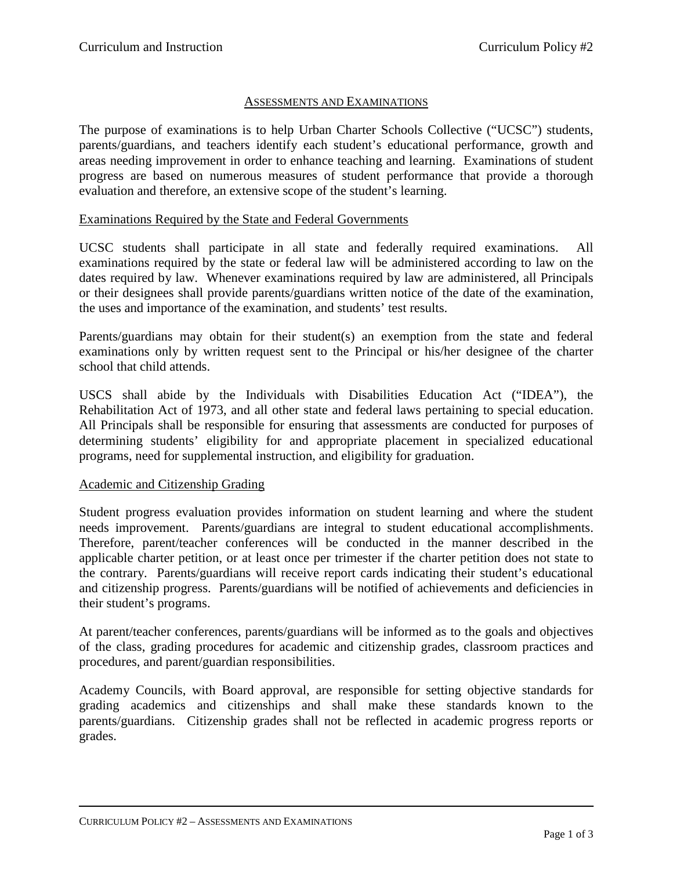## ASSESSMENTS AND EXAMINATIONS

The purpose of examinations is to help Urban Charter Schools Collective ("UCSC") students, parents/guardians, and teachers identify each student's educational performance, growth and areas needing improvement in order to enhance teaching and learning. Examinations of student progress are based on numerous measures of student performance that provide a thorough evaluation and therefore, an extensive scope of the student's learning.

## Examinations Required by the State and Federal Governments

UCSC students shall participate in all state and federally required examinations. All examinations required by the state or federal law will be administered according to law on the dates required by law. Whenever examinations required by law are administered, all Principals or their designees shall provide parents/guardians written notice of the date of the examination, the uses and importance of the examination, and students' test results.

Parents/guardians may obtain for their student(s) an exemption from the state and federal examinations only by written request sent to the Principal or his/her designee of the charter school that child attends.

USCS shall abide by the Individuals with Disabilities Education Act ("IDEA"), the Rehabilitation Act of 1973, and all other state and federal laws pertaining to special education. All Principals shall be responsible for ensuring that assessments are conducted for purposes of determining students' eligibility for and appropriate placement in specialized educational programs, need for supplemental instruction, and eligibility for graduation.

## Academic and Citizenship Grading

Student progress evaluation provides information on student learning and where the student needs improvement. Parents/guardians are integral to student educational accomplishments. Therefore, parent/teacher conferences will be conducted in the manner described in the applicable charter petition, or at least once per trimester if the charter petition does not state to the contrary. Parents/guardians will receive report cards indicating their student's educational and citizenship progress. Parents/guardians will be notified of achievements and deficiencies in their student's programs.

At parent/teacher conferences, parents/guardians will be informed as to the goals and objectives of the class, grading procedures for academic and citizenship grades, classroom practices and procedures, and parent/guardian responsibilities.

Academy Councils, with Board approval, are responsible for setting objective standards for grading academics and citizenships and shall make these standards known to the parents/guardians. Citizenship grades shall not be reflected in academic progress reports or grades.